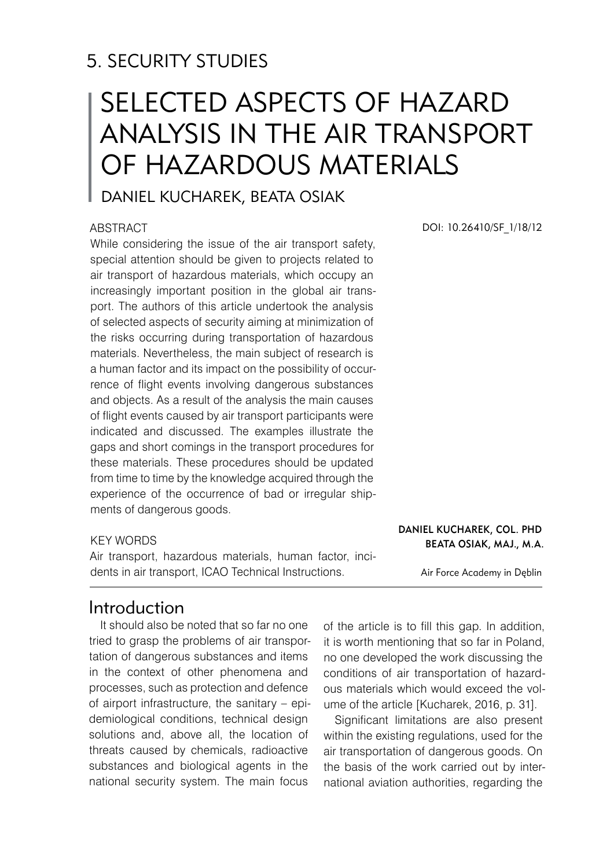## 5. SECURITY STUDIES

# SELECTED ASPECTS OF HAZARD ANALYSIS IN THE AIR TRANSPORT OF HAZARDOUS MATERIALS

## Daniel KUCHAREK, Beata OSIAK

#### **ABSTRACT**

While considering the issue of the air transport safety, special attention should be given to projects related to air transport of hazardous materials, which occupy an increasingly important position in the global air transport. The authors of this article undertook the analysis of selected aspects of security aiming at minimization of the risks occurring during transportation of hazardous materials. Nevertheless, the main subject of research is a human factor and its impact on the possibility of occurrence of flight events involving dangerous substances and objects. As a result of the analysis the main causes of flight events caused by air transport participants were indicated and discussed. The examples illustrate the gaps and short comings in the transport procedures for these materials. These procedures should be updated from time to time by the knowledge acquired through the experience of the occurrence of bad or irregular shipments of dangerous goods.

#### KEY WORDS

Air transport, hazardous materials, human factor, incidents in air transport, ICAO Technical Instructions.

## Introduction

It should also be noted that so far no one tried to grasp the problems of air transportation of dangerous substances and items in the context of other phenomena and processes, such as protection and defence of airport infrastructure, the sanitary – epidemiological conditions, technical design solutions and, above all, the location of threats caused by chemicals, radioactive substances and biological agents in the national security system. The main focus

of the article is to fill this gap. In addition, it is worth mentioning that so far in Poland, no one developed the work discussing the conditions of air transportation of hazardous materials which would exceed the volume of the article [Kucharek, 2016, p. 31].

Significant limitations are also present within the existing regulations, used for the air transportation of dangerous goods. On the basis of the work carried out by international aviation authorities, regarding the

DOI: 10.26410/SF\_1/18/12

#### Daniel KUCHAREK, Col. PhD Beata OSIAK, Maj., M.A.

Air Force Academy in Dęblin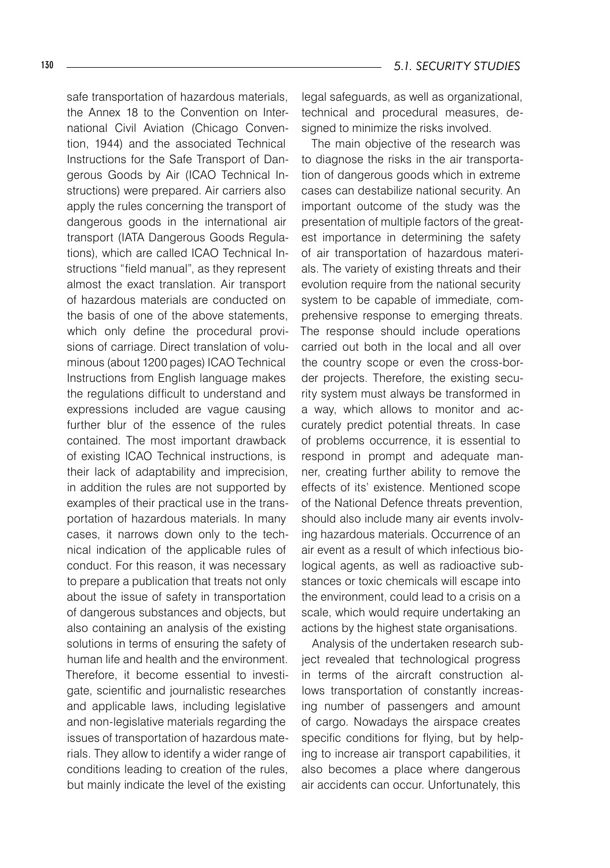safe transportation of hazardous materials, the Annex 18 to the Convention on International Civil Aviation (Chicago Convention, 1944) and the associated Technical Instructions for the Safe Transport of Dangerous Goods by Air (ICAO Technical Instructions) were prepared. Air carriers also apply the rules concerning the transport of dangerous goods in the international air transport (IATA Dangerous Goods Regulations), which are called ICAO Technical Instructions "field manual", as they represent almost the exact translation. Air transport of hazardous materials are conducted on the basis of one of the above statements, which only define the procedural provisions of carriage. Direct translation of voluminous (about 1200 pages) ICAO Technical Instructions from English language makes the regulations difficult to understand and expressions included are vague causing further blur of the essence of the rules contained. The most important drawback of existing ICAO Technical instructions, is their lack of adaptability and imprecision, in addition the rules are not supported by examples of their practical use in the transportation of hazardous materials. In many cases, it narrows down only to the technical indication of the applicable rules of conduct. For this reason, it was necessary to prepare a publication that treats not only about the issue of safety in transportation of dangerous substances and objects, but also containing an analysis of the existing solutions in terms of ensuring the safety of human life and health and the environment. Therefore, it become essential to investigate, scientific and journalistic researches and applicable laws, including legislative and non-legislative materials regarding the issues of transportation of hazardous materials. They allow to identify a wider range of conditions leading to creation of the rules, but mainly indicate the level of the existing

legal safeguards, as well as organizational, technical and procedural measures, designed to minimize the risks involved.

The main objective of the research was to diagnose the risks in the air transportation of dangerous goods which in extreme cases can destabilize national security. An important outcome of the study was the presentation of multiple factors of the greatest importance in determining the safety of air transportation of hazardous materials. The variety of existing threats and their evolution require from the national security system to be capable of immediate, comprehensive response to emerging threats. The response should include operations carried out both in the local and all over the country scope or even the cross-border projects. Therefore, the existing security system must always be transformed in a way, which allows to monitor and accurately predict potential threats. In case of problems occurrence, it is essential to respond in prompt and adequate manner, creating further ability to remove the effects of its' existence. Mentioned scope of the National Defence threats prevention, should also include many air events involving hazardous materials. Occurrence of an air event as a result of which infectious biological agents, as well as radioactive substances or toxic chemicals will escape into the environment, could lead to a crisis on a scale, which would require undertaking an actions by the highest state organisations.

Analysis of the undertaken research subject revealed that technological progress in terms of the aircraft construction allows transportation of constantly increasing number of passengers and amount of cargo. Nowadays the airspace creates specific conditions for flying, but by helping to increase air transport capabilities, it also becomes a place where dangerous air accidents can occur. Unfortunately, this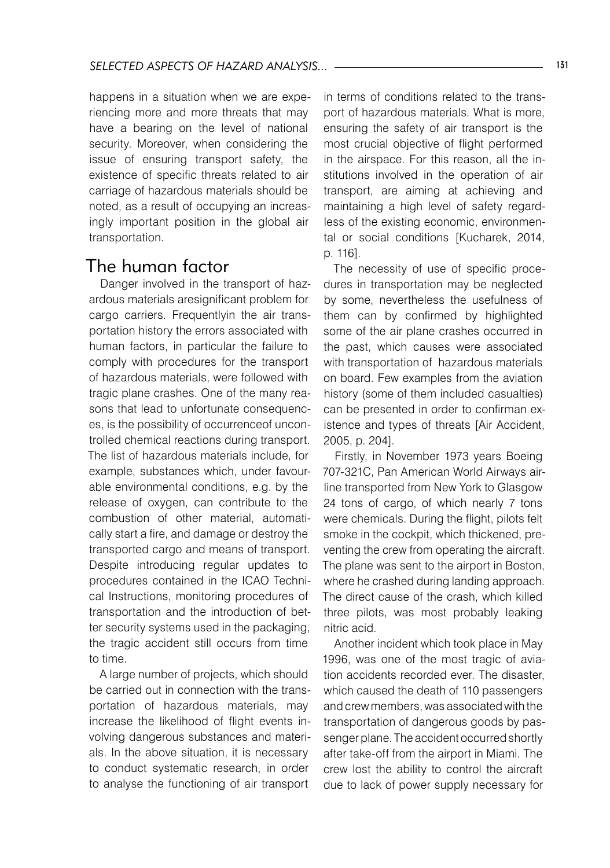happens in a situation when we are experiencing more and more threats that may have a bearing on the level of national security. Moreover, when considering the issue of ensuring transport safety, the existence of specific threats related to air carriage of hazardous materials should be noted, as a result of occupying an increasingly important position in the global air transportation.

### The human factor

Danger involved in the transport of hazardous materials aresignificant problem for cargo carriers. Frequentlyin the air transportation history the errors associated with human factors, in particular the failure to comply with procedures for the transport of hazardous materials, were followed with tragic plane crashes. One of the many reasons that lead to unfortunate consequences, is the possibility of occurrenceof uncontrolled chemical reactions during transport. The list of hazardous materials include, for example, substances which, under favourable environmental conditions, e.g. by the release of oxygen, can contribute to the combustion of other material, automatically start a fire, and damage or destroy the transported cargo and means of transport. Despite introducing regular updates to procedures contained in the ICAO Technical Instructions, monitoring procedures of transportation and the introduction of better security systems used in the packaging, the tragic accident still occurs from time to time.

A large number of projects, which should be carried out in connection with the transportation of hazardous materials, may increase the likelihood of flight events involving dangerous substances and materials. In the above situation, it is necessary to conduct systematic research, in order to analyse the functioning of air transport

in terms of conditions related to the transport of hazardous materials. What is more, ensuring the safety of air transport is the most crucial objective of flight performed in the airspace. For this reason, all the institutions involved in the operation of air transport, are aiming at achieving and maintaining a high level of safety regardless of the existing economic, environmental or social conditions [Kucharek, 2014, p. 116].

The necessity of use of specific procedures in transportation may be neglected by some, nevertheless the usefulness of them can by confirmed by highlighted some of the air plane crashes occurred in the past, which causes were associated with transportation of hazardous materials on board. Few examples from the aviation history (some of them included casualties) can be presented in order to confirman existence and types of threats [Air Accident, 2005, p. 204].

Firstly, in November 1973 years Boeing 707-321C, Pan American World Airways airline transported from New York to Glasgow 24 tons of cargo, of which nearly 7 tons were chemicals. During the flight, pilots felt smoke in the cockpit, which thickened, preventing the crew from operating the aircraft. The plane was sent to the airport in Boston, where he crashed during landing approach. The direct cause of the crash, which killed three pilots, was most probably leaking nitric acid.

Another incident which took place in May 1996, was one of the most tragic of aviation accidents recorded ever. The disaster, which caused the death of 110 passengers and crew members, was associated with the transportation of dangerous goods by passenger plane. The accident occurred shortly after take-off from the airport in Miami. The crew lost the ability to control the aircraft due to lack of power supply necessary for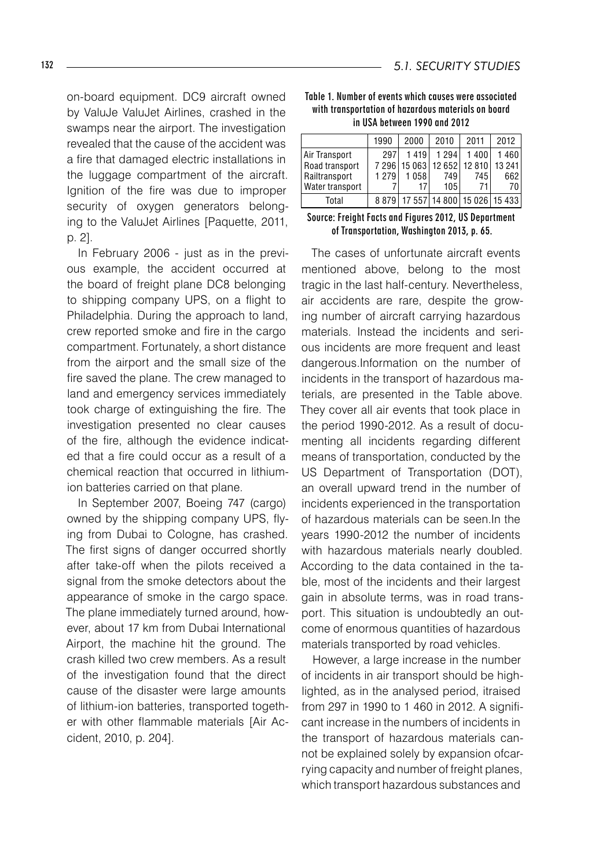on-board equipment. DC9 aircraft owned by ValuJe ValuJet Airlines, crashed in the swamps near the airport. The investigation revealed that the cause of the accident was a fire that damaged electric installations in the luggage compartment of the aircraft. Ignition of the fire was due to improper security of oxygen generators belonging to the ValuJet Airlines [Paquette, 2011, p. 2].

In February 2006 - just as in the previous example, the accident occurred at the board of freight plane DC8 belonging to shipping company UPS, on a flight to Philadelphia. During the approach to land, crew reported smoke and fire in the cargo compartment. Fortunately, a short distance from the airport and the small size of the fire saved the plane. The crew managed to land and emergency services immediately took charge of extinguishing the fire. The investigation presented no clear causes of the fire, although the evidence indicated that a fire could occur as a result of a chemical reaction that occurred in lithiumion batteries carried on that plane.

In September 2007, Boeing 747 (cargo) owned by the shipping company UPS, flying from Dubai to Cologne, has crashed. The first signs of danger occurred shortly after take-off when the pilots received a signal from the smoke detectors about the appearance of smoke in the cargo space. The plane immediately turned around, however, about 17 km from Dubai International Airport, the machine hit the ground. The crash killed two crew members. As a result of the investigation found that the direct cause of the disaster were large amounts of lithium-ion batteries, transported together with other flammable materials [Air Accident, 2010, p. 204].

| Table 1. Number of events which causes were associated |  |
|--------------------------------------------------------|--|
| with transportation of hazardous materials on board    |  |
| in USA between 1990 and 2012                           |  |

|                                                                     | 1990           | 2000               | 2010                                                               | 2011              | 2012              |
|---------------------------------------------------------------------|----------------|--------------------|--------------------------------------------------------------------|-------------------|-------------------|
| Air Transport<br>Road transport<br>Railtransport<br>Water transport | 297<br>1 2 7 9 | 1419<br>1058<br>17 | 1 2 9 4<br>7 296   15 063   12 652   12 810   13 241<br>749<br>105 | 1400<br>745<br>71 | 1460<br>662<br>70 |
| Total                                                               | 8879           |                    | 17 557 14 800 15 026 15 433                                        |                   |                   |

Source: Freight Facts and Figures 2012, US Department of Transportation, Washington 2013, p. 65.

The cases of unfortunate aircraft events mentioned above, belong to the most tragic in the last half-century. Nevertheless, air accidents are rare, despite the growing number of aircraft carrying hazardous materials. Instead the incidents and serious incidents are more frequent and least dangerous.Information on the number of incidents in the transport of hazardous materials, are presented in the Table above. They cover all air events that took place in the period 1990-2012. As a result of documenting all incidents regarding different means of transportation, conducted by the US Department of Transportation (DOT), an overall upward trend in the number of incidents experienced in the transportation of hazardous materials can be seen.In the years 1990-2012 the number of incidents with hazardous materials nearly doubled. According to the data contained in the table, most of the incidents and their largest gain in absolute terms, was in road transport. This situation is undoubtedly an outcome of enormous quantities of hazardous materials transported by road vehicles.

However, a large increase in the number of incidents in air transport should be highlighted, as in the analysed period, itraised from 297 in 1990 to 1 460 in 2012. A significant increase in the numbers of incidents in the transport of hazardous materials cannot be explained solely by expansion ofcarrying capacity and number of freight planes, which transport hazardous substances and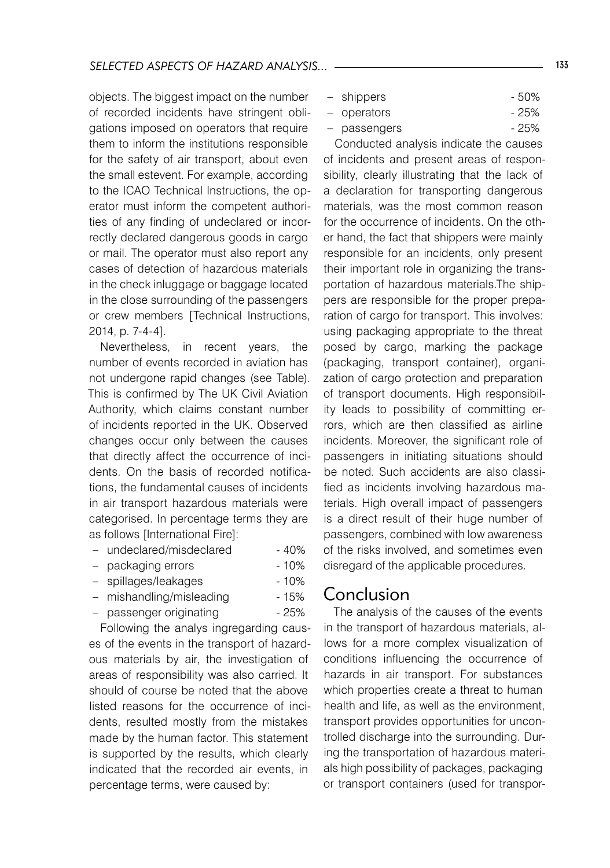objects. The biggest impact on the number of recorded incidents have stringent obligations imposed on operators that require them to inform the institutions responsible for the safety of air transport, about even the small estevent. For example, according to the ICAO Technical Instructions, the operator must inform the competent authorities of any finding of undeclared or incorrectly declared dangerous goods in cargo or mail. The operator must also report any cases of detection of hazardous materials in the check inluggage or baggage located in the close surrounding of the passengers or crew members [Technical Instructions, 2014, p. 7-4-4].

Nevertheless, in recent years, the number of events recorded in aviation has not undergone rapid changes (see Table). This is confirmed by The UK Civil Aviation Authority, which claims constant number of incidents reported in the UK. Observed changes occur only between the causes that directly affect the occurrence of incidents. On the basis of recorded notifications, the fundamental causes of incidents in air transport hazardous materials were categorised. In percentage terms they are as follows [International Fire]:

- undeclared/misdeclared 40%
- packaging errors 10%
- spillages/leakages 10%
- mishandling/misleading 15%
- passenger originating 25%

Following the analys ingregarding causes of the events in the transport of hazardous materials by air, the investigation of areas of responsibility was also carried. It should of course be noted that the above listed reasons for the occurrence of incidents, resulted mostly from the mistakes made by the human factor. This statement is supported by the results, which clearly indicated that the recorded air events, in percentage terms, were caused by:

- shippers 50%
- operators 25%
- passengers 25%

Conducted analysis indicate the causes of incidents and present areas of responsibility, clearly illustrating that the lack of a declaration for transporting dangerous materials, was the most common reason for the occurrence of incidents. On the other hand, the fact that shippers were mainly responsible for an incidents, only present their important role in organizing the transportation of hazardous materials.The shippers are responsible for the proper preparation of cargo for transport. This involves: using packaging appropriate to the threat posed by cargo, marking the package (packaging, transport container), organization of cargo protection and preparation of transport documents. High responsibility leads to possibility of committing errors, which are then classified as airline incidents. Moreover, the significant role of passengers in initiating situations should be noted. Such accidents are also classified as incidents involving hazardous materials. High overall impact of passengers is a direct result of their huge number of passengers, combined with low awareness of the risks involved, and sometimes even disregard of the applicable procedures.

#### Conclusion

The analysis of the causes of the events in the transport of hazardous materials, allows for a more complex visualization of conditions influencing the occurrence of hazards in air transport. For substances which properties create a threat to human health and life, as well as the environment, transport provides opportunities for uncontrolled discharge into the surrounding. During the transportation of hazardous materials high possibility of packages, packaging or transport containers (used for transpor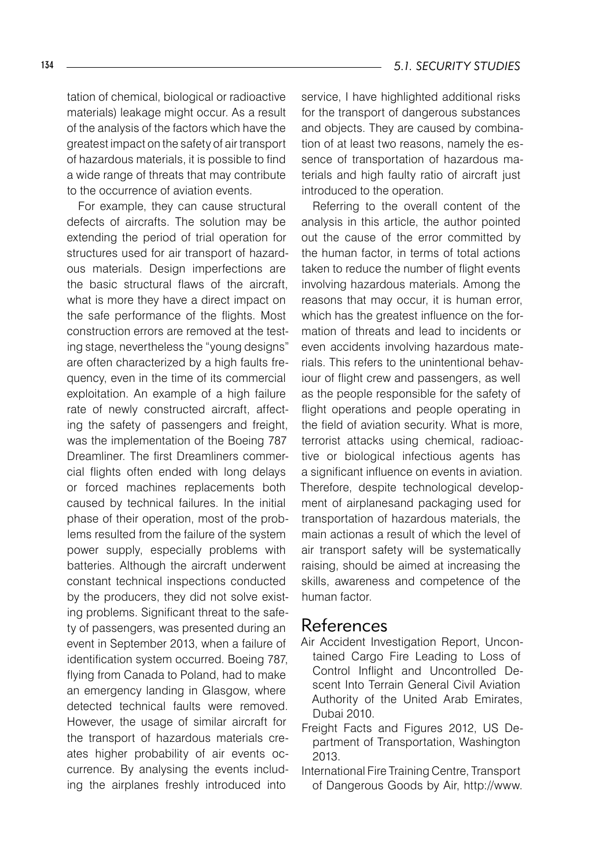tation of chemical, biological or radioactive materials) leakage might occur. As a result of the analysis of the factors which have the greatest impact on the safety of air transport of hazardous materials, it is possible to find a wide range of threats that may contribute to the occurrence of aviation events.

For example, they can cause structural defects of aircrafts. The solution may be extending the period of trial operation for structures used for air transport of hazardous materials. Design imperfections are the basic structural flaws of the aircraft, what is more they have a direct impact on the safe performance of the flights. Most construction errors are removed at the testing stage, nevertheless the "young designs" are often characterized by a high faults frequency, even in the time of its commercial exploitation. An example of a high failure rate of newly constructed aircraft, affecting the safety of passengers and freight, was the implementation of the Boeing 787 Dreamliner. The first Dreamliners commercial flights often ended with long delays or forced machines replacements both caused by technical failures. In the initial phase of their operation, most of the problems resulted from the failure of the system power supply, especially problems with batteries. Although the aircraft underwent constant technical inspections conducted by the producers, they did not solve existing problems. Significant threat to the safety of passengers, was presented during an event in September 2013, when a failure of identification system occurred. Boeing 787, flying from Canada to Poland, had to make an emergency landing in Glasgow, where detected technical faults were removed. However, the usage of similar aircraft for the transport of hazardous materials creates higher probability of air events occurrence. By analysing the events including the airplanes freshly introduced into

service, I have highlighted additional risks for the transport of dangerous substances and objects. They are caused by combination of at least two reasons, namely the essence of transportation of hazardous materials and high faulty ratio of aircraft just introduced to the operation.

Referring to the overall content of the analysis in this article, the author pointed out the cause of the error committed by the human factor, in terms of total actions taken to reduce the number of flight events involving hazardous materials. Among the reasons that may occur, it is human error, which has the greatest influence on the formation of threats and lead to incidents or even accidents involving hazardous materials. This refers to the unintentional behaviour of flight crew and passengers, as well as the people responsible for the safety of flight operations and people operating in the field of aviation security. What is more, terrorist attacks using chemical, radioactive or biological infectious agents has a significant influence on events in aviation. Therefore, despite technological development of airplanesand packaging used for transportation of hazardous materials, the main actionas a result of which the level of air transport safety will be systematically raising, should be aimed at increasing the skills, awareness and competence of the human factor.

#### References

- Air Accident Investigation Report, Uncontained Cargo Fire Leading to Loss of Control Inflight and Uncontrolled Descent Into Terrain General Civil Aviation Authority of the United Arab Emirates, Dubai 2010.
- Freight Facts and Figures 2012, US Department of Transportation, Washington 2013.
- International Fire Training Centre, Transport of Dangerous Goods by Air, http://www.